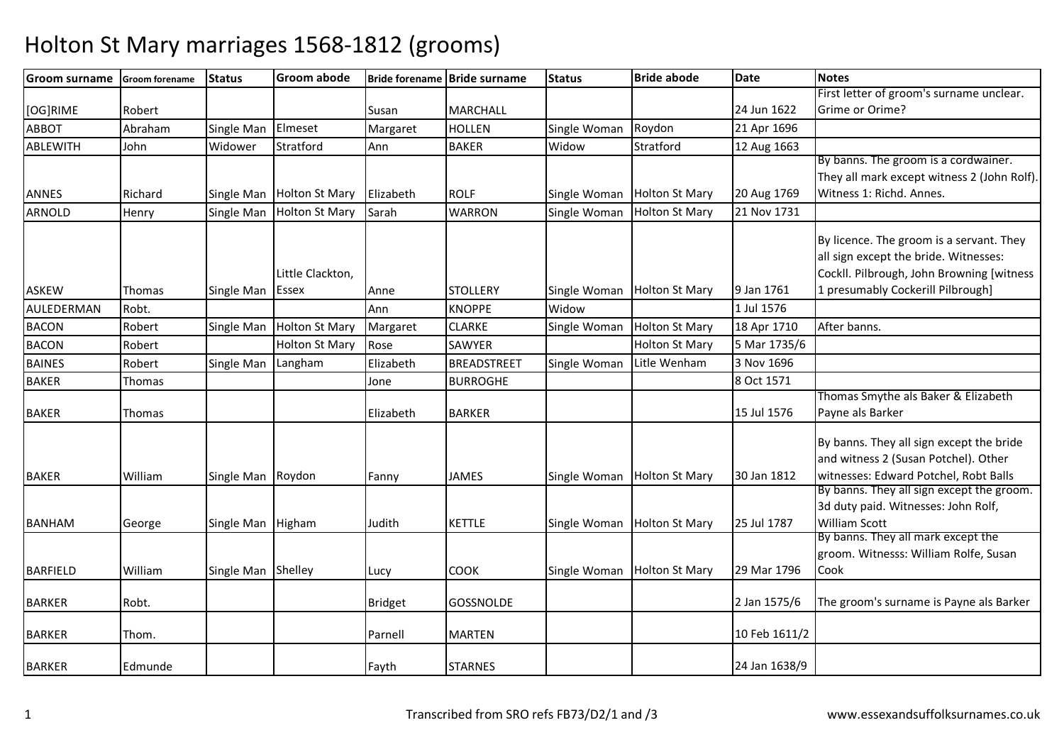| <b>Groom surname</b> | <b>Groom forename</b> | <b>Status</b>      | <b>Groom abode</b>    |                | Bride forename Bride surname | <b>Status</b> | <b>Bride abode</b>    | Date          | <b>Notes</b>                                |
|----------------------|-----------------------|--------------------|-----------------------|----------------|------------------------------|---------------|-----------------------|---------------|---------------------------------------------|
|                      |                       |                    |                       |                |                              |               |                       |               | First letter of groom's surname unclear.    |
| [OG]RIME             | Robert                |                    |                       | Susan          | <b>MARCHALL</b>              |               |                       | 24 Jun 1622   | Grime or Orime?                             |
| <b>ABBOT</b>         | Abraham               | Single Man         | Elmeset               | Margaret       | <b>HOLLEN</b>                | Single Woman  | Roydon                | 21 Apr 1696   |                                             |
| ABLEWITH             | John                  | Widower            | Stratford             | Ann            | <b>BAKER</b>                 | Widow         | Stratford             | 12 Aug 1663   |                                             |
|                      |                       |                    |                       |                |                              |               |                       |               | By banns. The groom is a cordwainer.        |
|                      |                       |                    |                       |                |                              |               |                       |               | They all mark except witness 2 (John Rolf). |
| <b>ANNES</b>         | Richard               | Single Man         | <b>Holton St Mary</b> | Elizabeth      | <b>ROLF</b>                  | Single Woman  | <b>Holton St Mary</b> | 20 Aug 1769   | Witness 1: Richd. Annes.                    |
| <b>ARNOLD</b>        | Henry                 | Single Man         | <b>Holton St Mary</b> | Sarah          | <b>WARRON</b>                | Single Woman  | <b>Holton St Mary</b> | 21 Nov 1731   |                                             |
|                      |                       |                    |                       |                |                              |               |                       |               | By licence. The groom is a servant. They    |
|                      |                       |                    |                       |                |                              |               |                       |               | all sign except the bride. Witnesses:       |
|                      |                       |                    | Little Clackton,      |                |                              |               |                       |               | Cockll. Pilbrough, John Browning [witness   |
| <b>ASKEW</b>         | Thomas                | Single Man         | <b>Essex</b>          | Anne           | <b>STOLLERY</b>              | Single Woman  | <b>Holton St Mary</b> | 9 Jan 1761    | 1 presumably Cockerill Pilbrough]           |
| AULEDERMAN           | Robt.                 |                    |                       | Ann            | <b>KNOPPE</b>                | Widow         |                       | 1 Jul 1576    |                                             |
| <b>BACON</b>         | Robert                | Single Man         | <b>Holton St Mary</b> | Margaret       | <b>CLARKE</b>                | Single Woman  | <b>Holton St Mary</b> | 18 Apr 1710   | After banns.                                |
|                      |                       |                    |                       |                |                              |               |                       | 5 Mar 1735/6  |                                             |
| <b>BACON</b>         | Robert                |                    | <b>Holton St Mary</b> | Rose           | SAWYER                       |               | <b>Holton St Mary</b> |               |                                             |
| <b>BAINES</b>        | Robert                | Single Man         | Langham               | Elizabeth      | <b>BREADSTREET</b>           | Single Woman  | Litle Wenham          | 3 Nov 1696    |                                             |
| <b>BAKER</b>         | Thomas                |                    |                       | Jone           | <b>BURROGHE</b>              |               |                       | 8 Oct 1571    |                                             |
|                      |                       |                    |                       |                |                              |               |                       |               | Thomas Smythe als Baker & Elizabeth         |
| <b>BAKER</b>         | Thomas                |                    |                       | Elizabeth      | <b>BARKER</b>                |               |                       | 15 Jul 1576   | Payne als Barker                            |
|                      |                       |                    |                       |                |                              |               |                       |               | By banns. They all sign except the bride    |
|                      |                       |                    |                       |                |                              |               |                       |               | and witness 2 (Susan Potchel). Other        |
| <b>BAKER</b>         | William               | Single Man         | Roydon                | Fanny          | <b>JAMES</b>                 | Single Woman  | <b>Holton St Mary</b> | 30 Jan 1812   | witnesses: Edward Potchel, Robt Balls       |
|                      |                       |                    |                       |                |                              |               |                       |               | By banns. They all sign except the groom.   |
|                      |                       |                    |                       |                |                              |               |                       |               | 3d duty paid. Witnesses: John Rolf,         |
| <b>BANHAM</b>        | George                | Single Man         | Higham                | Judith         | <b>KETTLE</b>                | Single Woman  | <b>Holton St Mary</b> | 25 Jul 1787   | <b>William Scott</b>                        |
|                      |                       |                    |                       |                |                              |               |                       |               | By banns. They all mark except the          |
|                      |                       |                    |                       |                |                              |               |                       |               | groom. Witnesss: William Rolfe, Susan       |
| <b>BARFIELD</b>      | William               | Single Man Shelley |                       | Lucy           | <b>COOK</b>                  | Single Woman  | <b>Holton St Mary</b> | 29 Mar 1796   | Cook                                        |
|                      |                       |                    |                       |                |                              |               |                       |               |                                             |
| <b>BARKER</b>        | Robt.                 |                    |                       | <b>Bridget</b> | GOSSNOLDE                    |               |                       | 2 Jan 1575/6  | The groom's surname is Payne als Barker     |
|                      |                       |                    |                       | Parnell        | <b>MARTEN</b>                |               |                       | 10 Feb 1611/2 |                                             |
| <b>BARKER</b>        | Thom.                 |                    |                       |                |                              |               |                       |               |                                             |
| <b>BARKER</b>        | Edmunde               |                    |                       | Fayth          | <b>STARNES</b>               |               |                       | 24 Jan 1638/9 |                                             |
|                      |                       |                    |                       |                |                              |               |                       |               |                                             |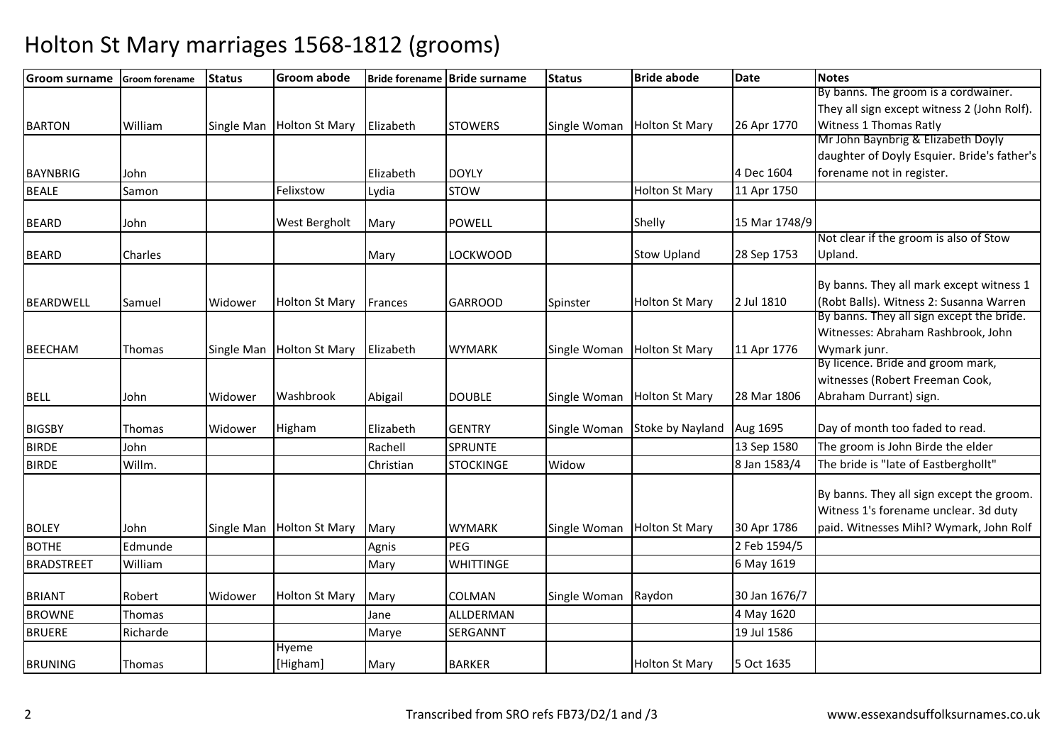| <b>Groom surname</b> | <b>Groom forename</b> | <b>Status</b> | <b>Groom abode</b>    |           | Bride forename Bride surname | <b>Status</b> | <b>Bride abode</b>    | <b>Date</b>   | <b>Notes</b>                                |
|----------------------|-----------------------|---------------|-----------------------|-----------|------------------------------|---------------|-----------------------|---------------|---------------------------------------------|
|                      |                       |               |                       |           |                              |               |                       |               | By banns. The groom is a cordwainer.        |
|                      |                       |               |                       |           |                              |               |                       |               | They all sign except witness 2 (John Rolf). |
| <b>BARTON</b>        | William               | Single Man    | <b>Holton St Mary</b> | Elizabeth | <b>STOWERS</b>               | Single Woman  | <b>Holton St Mary</b> | 26 Apr 1770   | Witness 1 Thomas Ratly                      |
|                      |                       |               |                       |           |                              |               |                       |               | Mr John Baynbrig & Elizabeth Doyly          |
|                      |                       |               |                       |           |                              |               |                       |               | daughter of Doyly Esquier. Bride's father's |
| <b>BAYNBRIG</b>      | John                  |               |                       | Elizabeth | <b>DOYLY</b>                 |               |                       | 4 Dec 1604    | forename not in register.                   |
| <b>BEALE</b>         | Samon                 |               | Felixstow             | Lydia     | <b>STOW</b>                  |               | <b>Holton St Mary</b> | 11 Apr 1750   |                                             |
| <b>BEARD</b>         | John                  |               | <b>West Bergholt</b>  | Mary      | <b>POWELL</b>                |               | Shelly                | 15 Mar 1748/9 |                                             |
|                      |                       |               |                       |           |                              |               |                       |               | Not clear if the groom is also of Stow      |
| <b>BEARD</b>         | Charles               |               |                       | Mary      | <b>LOCKWOOD</b>              |               | <b>Stow Upland</b>    | 28 Sep 1753   | Upland.                                     |
|                      |                       |               |                       |           |                              |               |                       |               | By banns. They all mark except witness 1    |
| <b>BEARDWELL</b>     | Samuel                | Widower       | <b>Holton St Mary</b> | Frances   | <b>GARROOD</b>               | Spinster      | <b>Holton St Mary</b> | 2 Jul 1810    | (Robt Balls). Witness 2: Susanna Warren     |
|                      |                       |               |                       |           |                              |               |                       |               | By banns. They all sign except the bride.   |
|                      |                       |               |                       |           |                              |               |                       |               | Witnesses: Abraham Rashbrook, John          |
| <b>BEECHAM</b>       | Thomas                | Single Man    | <b>Holton St Mary</b> | Elizabeth | <b>WYMARK</b>                | Single Woman  | <b>Holton St Mary</b> | 11 Apr 1776   | Wymark junr.                                |
|                      |                       |               |                       |           |                              |               |                       |               | By licence. Bride and groom mark,           |
|                      |                       |               |                       |           |                              |               |                       |               | witnesses (Robert Freeman Cook,             |
| <b>BELL</b>          | John                  | Widower       | Washbrook             | Abigail   | <b>DOUBLE</b>                | Single Woman  | <b>Holton St Mary</b> | 28 Mar 1806   | Abraham Durrant) sign.                      |
| <b>BIGSBY</b>        | Thomas                | Widower       | Higham                | Elizabeth | <b>GENTRY</b>                | Single Woman  | Stoke by Nayland      | Aug 1695      | Day of month too faded to read.             |
| <b>BIRDE</b>         | John                  |               |                       | Rachell   | <b>SPRUNTE</b>               |               |                       | 13 Sep 1580   | The groom is John Birde the elder           |
| <b>BIRDE</b>         | Willm.                |               |                       | Christian | <b>STOCKINGE</b>             | Widow         |                       | 8 Jan 1583/4  | The bride is "late of Eastberghollt"        |
|                      |                       |               |                       |           |                              |               |                       |               |                                             |
|                      |                       |               |                       |           |                              |               |                       |               | By banns. They all sign except the groom.   |
|                      |                       |               |                       |           |                              |               |                       |               | Witness 1's forename unclear. 3d duty       |
| <b>BOLEY</b>         | John                  | Single Man    | <b>Holton St Mary</b> | Mary      | <b>WYMARK</b>                | Single Woman  | <b>Holton St Mary</b> | 30 Apr 1786   | paid. Witnesses Mihl? Wymark, John Rolf     |
| <b>BOTHE</b>         | Edmunde               |               |                       | Agnis     | PEG                          |               |                       | 2 Feb 1594/5  |                                             |
| <b>BRADSTREET</b>    | William               |               |                       | Mary      | <b>WHITTINGE</b>             |               |                       | 6 May 1619    |                                             |
|                      |                       |               |                       |           |                              |               |                       |               |                                             |
| <b>BRIANT</b>        | Robert                | Widower       | <b>Holton St Mary</b> | Mary      | COLMAN                       | Single Woman  | Raydon                | 30 Jan 1676/7 |                                             |
| <b>BROWNE</b>        | Thomas                |               |                       | Jane      | ALLDERMAN                    |               |                       | 4 May 1620    |                                             |
| <b>BRUERE</b>        | Richarde              |               |                       | Marye     | <b>SERGANNT</b>              |               |                       | 19 Jul 1586   |                                             |
|                      |                       |               | Hyeme                 |           |                              |               |                       |               |                                             |
| <b>BRUNING</b>       | Thomas                |               | [Higham]              | Mary      | <b>BARKER</b>                |               | <b>Holton St Mary</b> | 5 Oct 1635    |                                             |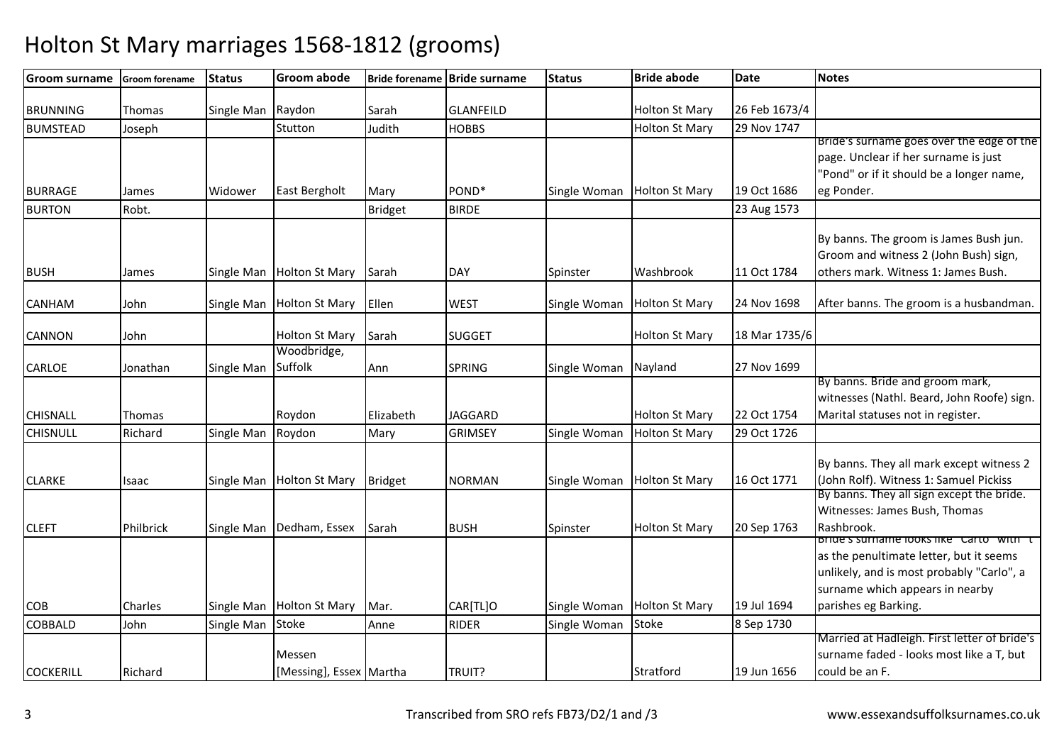| <b>Groom surname</b> | Groom forename | <b>Status</b> | <b>Groom abode</b>      |                | Bride forename Bride surname | <b>Status</b> | <b>Bride abode</b>    | <b>Date</b>   | <b>Notes</b>                                 |
|----------------------|----------------|---------------|-------------------------|----------------|------------------------------|---------------|-----------------------|---------------|----------------------------------------------|
| <b>BRUNNING</b>      | Thomas         | Single Man    | Raydon                  | Sarah          | <b>GLANFEILD</b>             |               | <b>Holton St Mary</b> | 26 Feb 1673/4 |                                              |
| <b>BUMSTEAD</b>      | Joseph         |               | Stutton                 | Judith         | <b>HOBBS</b>                 |               | <b>Holton St Mary</b> | 29 Nov 1747   |                                              |
|                      |                |               |                         |                |                              |               |                       |               | Bride's surname goes over the edge of the    |
|                      |                |               |                         |                |                              |               |                       |               | page. Unclear if her surname is just         |
|                      |                |               |                         |                |                              |               |                       |               | 'Pond" or if it should be a longer name,     |
| <b>BURRAGE</b>       | James          | Widower       | <b>East Bergholt</b>    | Mary           | POND <sup>*</sup>            | Single Woman  | <b>Holton St Mary</b> | 19 Oct 1686   | eg Ponder.                                   |
| <b>BURTON</b>        | Robt.          |               |                         | <b>Bridget</b> | <b>BIRDE</b>                 |               |                       | 23 Aug 1573   |                                              |
|                      |                |               |                         |                |                              |               |                       |               |                                              |
|                      |                |               |                         |                |                              |               |                       |               | By banns. The groom is James Bush jun.       |
|                      |                |               |                         |                |                              |               |                       |               | Groom and witness 2 (John Bush) sign,        |
| <b>BUSH</b>          | James          | Single Man    | <b>Holton St Mary</b>   | Sarah          | <b>DAY</b>                   | Spinster      | Washbrook             | 11 Oct 1784   | others mark. Witness 1: James Bush.          |
|                      |                |               |                         |                |                              |               |                       |               |                                              |
| CANHAM               | John           | Single Man    | Holton St Mary          | Ellen          | <b>WEST</b>                  | Single Woman  | <b>Holton St Mary</b> | 24 Nov 1698   | After banns. The groom is a husbandman.      |
| CANNON               | John           |               | <b>Holton St Mary</b>   | Sarah          | <b>SUGGET</b>                |               | <b>Holton St Mary</b> | 18 Mar 1735/6 |                                              |
|                      |                |               | Woodbridge,             |                |                              |               |                       |               |                                              |
| CARLOE               | Jonathan       | Single Man    | Suffolk                 | Ann            | <b>SPRING</b>                | Single Woman  | Nayland               | 27 Nov 1699   |                                              |
|                      |                |               |                         |                |                              |               |                       |               | By banns. Bride and groom mark,              |
|                      |                |               |                         |                |                              |               |                       |               | witnesses (Nathl. Beard, John Roofe) sign.   |
| <b>CHISNALL</b>      | Thomas         |               | Roydon                  | Elizabeth      | <b>JAGGARD</b>               |               | <b>Holton St Mary</b> | 22 Oct 1754   | Marital statuses not in register.            |
| <b>CHISNULL</b>      | Richard        | Single Man    | Roydon                  | Mary           | <b>GRIMSEY</b>               | Single Woman  | <b>Holton St Mary</b> | 29 Oct 1726   |                                              |
|                      |                |               |                         |                |                              |               |                       |               |                                              |
|                      |                |               |                         |                |                              |               |                       |               | By banns. They all mark except witness 2     |
| <b>CLARKE</b>        | Isaac          | Single Man    | <b>Holton St Mary</b>   | <b>Bridget</b> | <b>NORMAN</b>                | Single Woman  | <b>Holton St Mary</b> | 16 Oct 1771   | (John Rolf). Witness 1: Samuel Pickiss       |
|                      |                |               |                         |                |                              |               |                       |               | By banns. They all sign except the bride.    |
|                      |                |               |                         |                |                              |               |                       |               | Witnesses: James Bush, Thomas                |
| <b>CLEFT</b>         | Philbrick      | Single Man    | Dedham, Essex           | Sarah          | <b>BUSH</b>                  | Spinster      | <b>Holton St Mary</b> | 20 Sep 1763   | Rashbrook.                                   |
|                      |                |               |                         |                |                              |               |                       |               | Bride's surname looks like "Carto" with "t"  |
|                      |                |               |                         |                |                              |               |                       |               | as the penultimate letter, but it seems      |
|                      |                |               |                         |                |                              |               |                       |               | unlikely, and is most probably "Carlo", a    |
|                      |                |               |                         |                |                              |               |                       |               | surname which appears in nearby              |
| COB                  | Charles        | Single Man    | <b>Holton St Mary</b>   | Mar.           | CAR[TL]O                     | Single Woman  | <b>Holton St Mary</b> | 19 Jul 1694   | parishes eg Barking.                         |
| <b>COBBALD</b>       | John           | Single Man    | <b>Stoke</b>            | Anne           | <b>RIDER</b>                 | Single Woman  | <b>Stoke</b>          | 8 Sep 1730    |                                              |
|                      |                |               |                         |                |                              |               |                       |               | Married at Hadleigh. First letter of bride's |
|                      |                |               | Messen                  |                |                              |               |                       |               | surname faded - looks most like a T, but     |
| <b>COCKERILL</b>     | Richard        |               | [Messing], Essex Martha |                | TRUIT?                       |               | Stratford             | 19 Jun 1656   | could be an F.                               |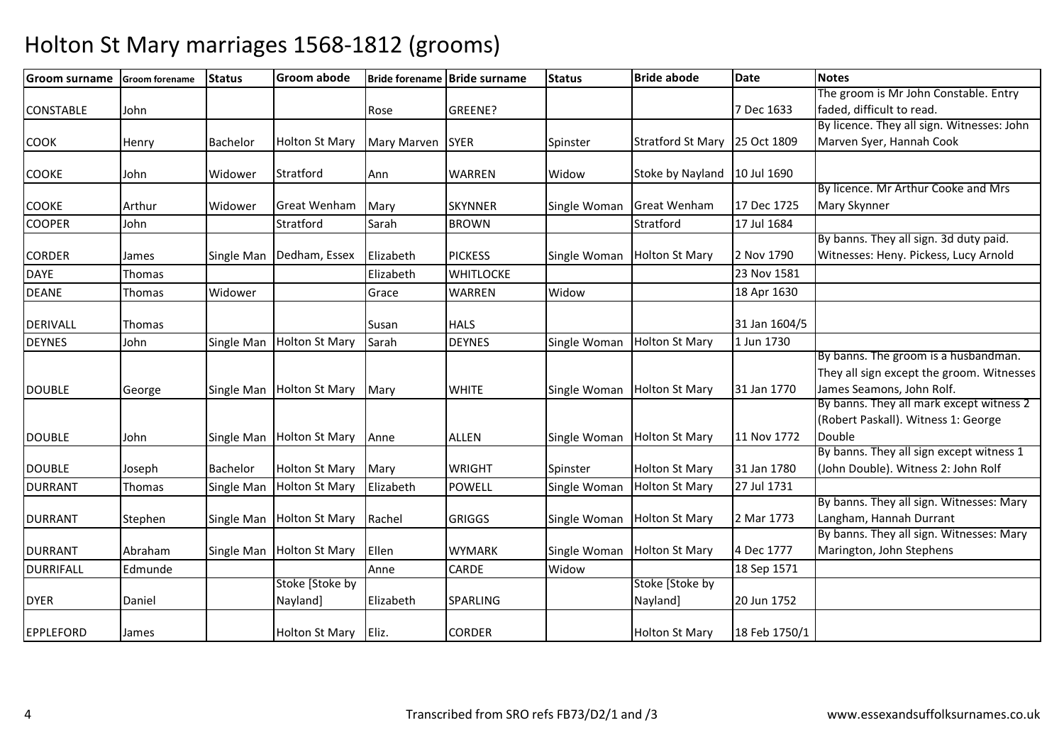| <b>Groom surname</b> | <b>Groom forename</b> | <b>Status</b>   | Groom abode                 |                    | Bride forename Bride surname | <b>Status</b> | <b>Bride abode</b>          | <b>Date</b>   | <b>Notes</b>                                                                                                   |
|----------------------|-----------------------|-----------------|-----------------------------|--------------------|------------------------------|---------------|-----------------------------|---------------|----------------------------------------------------------------------------------------------------------------|
|                      |                       |                 |                             |                    |                              |               |                             |               | The groom is Mr John Constable. Entry                                                                          |
| <b>CONSTABLE</b>     | John                  |                 |                             | Rose               | GREENE?                      |               |                             | 7 Dec 1633    | faded, difficult to read.                                                                                      |
|                      |                       |                 |                             |                    |                              |               |                             |               | By licence. They all sign. Witnesses: John                                                                     |
| <b>COOK</b>          | Henry                 | <b>Bachelor</b> | <b>Holton St Mary</b>       | <b>Mary Marven</b> | <b>SYER</b>                  | Spinster      | <b>Stratford St Mary</b>    | 25 Oct 1809   | Marven Syer, Hannah Cook                                                                                       |
| <b>COOKE</b>         | John                  | Widower         | Stratford                   | Ann                | <b>WARREN</b>                | Widow         | Stoke by Nayland            | 10 Jul 1690   |                                                                                                                |
| <b>COOKE</b>         | Arthur                | Widower         | <b>Great Wenham</b>         | Mary               | <b>SKYNNER</b>               | Single Woman  | <b>Great Wenham</b>         | 17 Dec 1725   | By licence. Mr Arthur Cooke and Mrs<br>Mary Skynner                                                            |
| <b>COOPER</b>        | John                  |                 | Stratford                   | Sarah              | <b>BROWN</b>                 |               | Stratford                   | 17 Jul 1684   |                                                                                                                |
|                      |                       |                 |                             |                    |                              |               |                             |               | By banns. They all sign. 3d duty paid.                                                                         |
| <b>CORDER</b>        | James                 | Single Man      | Dedham, Essex               | Elizabeth          | <b>PICKESS</b>               | Single Woman  | <b>Holton St Mary</b>       | 2 Nov 1790    | Witnesses: Heny. Pickess, Lucy Arnold                                                                          |
| <b>DAYE</b>          | Thomas                |                 |                             | Elizabeth          | <b>WHITLOCKE</b>             |               |                             | 23 Nov 1581   |                                                                                                                |
| <b>DEANE</b>         | Thomas                | Widower         |                             | Grace              | <b>WARREN</b>                | Widow         |                             | 18 Apr 1630   |                                                                                                                |
| <b>DERIVALL</b>      | Thomas                |                 |                             | Susan              | <b>HALS</b>                  |               |                             | 31 Jan 1604/5 |                                                                                                                |
| <b>DEYNES</b>        | John                  | Single Man      | <b>Holton St Mary</b>       | Sarah              | <b>DEYNES</b>                | Single Woman  | <b>Holton St Mary</b>       | 1 Jun 1730    |                                                                                                                |
| <b>DOUBLE</b>        | George                | Single Man      | <b>Holton St Mary</b>       | Mary               | <b>WHITE</b>                 | Single Woman  | <b>Holton St Mary</b>       | 31 Jan 1770   | By banns. The groom is a husbandman.<br>They all sign except the groom. Witnesses<br>James Seamons, John Rolf. |
| <b>DOUBLE</b>        | John                  | Single Man      | <b>Holton St Mary</b>       | Anne               | <b>ALLEN</b>                 | Single Woman  | <b>Holton St Mary</b>       | 11 Nov 1772   | By banns. They all mark except witness 2<br>(Robert Paskall). Witness 1: George<br>Double                      |
| <b>DOUBLE</b>        | Joseph                | Bachelor        | <b>Holton St Mary</b>       | Mary               | <b>WRIGHT</b>                | Spinster      | <b>Holton St Mary</b>       | 31 Jan 1780   | By banns. They all sign except witness 1<br>(John Double). Witness 2: John Rolf                                |
| <b>DURRANT</b>       | Thomas                | Single Man      | <b>Holton St Mary</b>       | Elizabeth          | POWELL                       | Single Woman  | <b>Holton St Mary</b>       | 27 Jul 1731   |                                                                                                                |
| <b>DURRANT</b>       | Stephen               | Single Man      | <b>Holton St Mary</b>       | Rachel             | <b>GRIGGS</b>                | Single Woman  | <b>Holton St Mary</b>       | 2 Mar 1773    | By banns. They all sign. Witnesses: Mary<br>Langham, Hannah Durrant                                            |
| <b>DURRANT</b>       | Abraham               | Single Man      | <b>Holton St Mary</b>       | Ellen              | <b>WYMARK</b>                | Single Woman  | <b>Holton St Mary</b>       | 4 Dec 1777    | By banns. They all sign. Witnesses: Mary<br>Marington, John Stephens                                           |
| <b>DURRIFALL</b>     | Edmunde               |                 |                             | Anne               | CARDE                        | Widow         |                             | 18 Sep 1571   |                                                                                                                |
| <b>DYER</b>          | Daniel                |                 | Stoke [Stoke by<br>Nayland] | Elizabeth          | SPARLING                     |               | Stoke [Stoke by<br>Nayland] | 20 Jun 1752   |                                                                                                                |
| <b>EPPLEFORD</b>     | James                 |                 | <b>Holton St Mary</b>       | Eliz.              | <b>CORDER</b>                |               | <b>Holton St Mary</b>       | 18 Feb 1750/1 |                                                                                                                |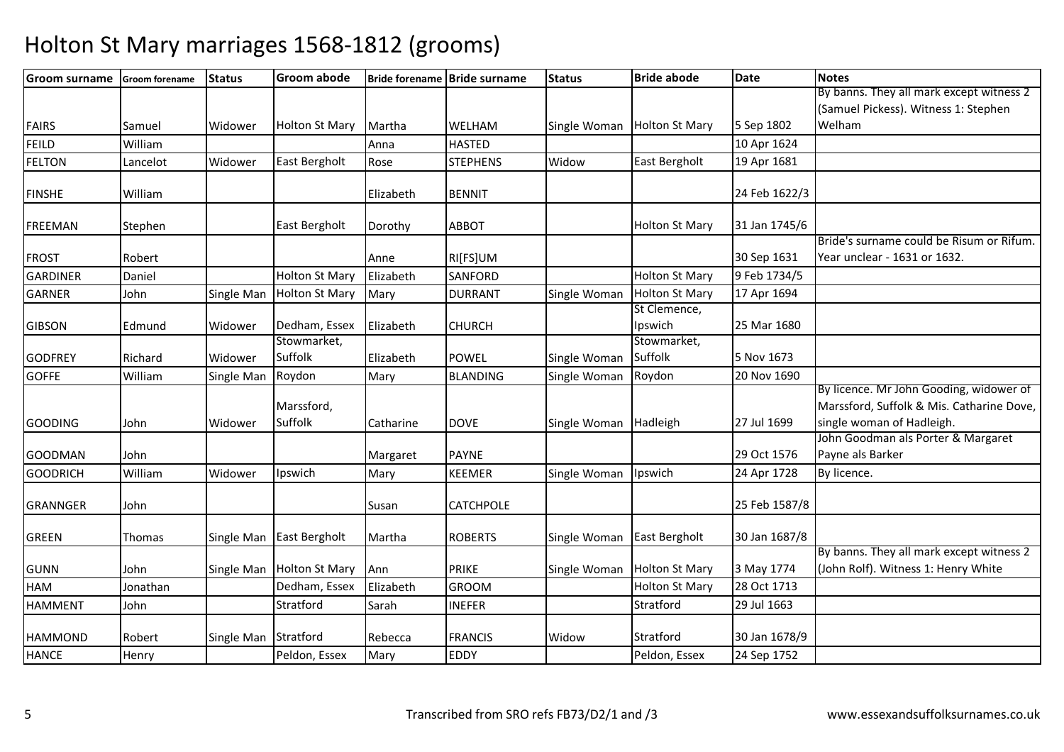| <b>Groom surname</b> | <b>Groom forename</b> | <b>Status</b>        | <b>Groom abode</b>        |           | Bride forename Bride surname | <b>Status</b> | <b>Bride abode</b>     | <b>Date</b>   | <b>Notes</b>                              |
|----------------------|-----------------------|----------------------|---------------------------|-----------|------------------------------|---------------|------------------------|---------------|-------------------------------------------|
|                      |                       |                      |                           |           |                              |               |                        |               | By banns. They all mark except witness 2  |
|                      |                       |                      |                           |           |                              |               |                        |               | (Samuel Pickess). Witness 1: Stephen      |
| <b>FAIRS</b>         | Samuel                | Widower              | <b>Holton St Mary</b>     | Martha    | WELHAM                       | Single Woman  | <b>Holton St Mary</b>  | 5 Sep 1802    | Welham                                    |
| <b>FEILD</b>         | William               |                      |                           | Anna      | <b>HASTED</b>                |               |                        | 10 Apr 1624   |                                           |
| <b>FELTON</b>        | Lancelot              | Widower              | East Bergholt             | Rose      | <b>STEPHENS</b>              | Widow         | East Bergholt          | 19 Apr 1681   |                                           |
| <b>FINSHE</b>        | William               |                      |                           | Elizabeth | <b>BENNIT</b>                |               |                        | 24 Feb 1622/3 |                                           |
| <b>FREEMAN</b>       | Stephen               |                      | East Bergholt             | Dorothy   | <b>ABBOT</b>                 |               | <b>Holton St Mary</b>  | 31 Jan 1745/6 |                                           |
|                      |                       |                      |                           |           |                              |               |                        |               | Bride's surname could be Risum or Rifum.  |
| <b>FROST</b>         | Robert                |                      |                           | Anne      | RI[FS]UM                     |               |                        | 30 Sep 1631   | Year unclear - 1631 or 1632.              |
| <b>GARDINER</b>      | Daniel                |                      | <b>Holton St Mary</b>     | Elizabeth | <b>SANFORD</b>               |               | <b>Holton St Mary</b>  | 9 Feb 1734/5  |                                           |
| <b>GARNER</b>        | John                  | Single Man           | <b>Holton St Mary</b>     | Mary      | <b>DURRANT</b>               | Single Woman  | <b>Holton St Mary</b>  | 17 Apr 1694   |                                           |
|                      |                       |                      |                           |           |                              |               | St Clemence,           |               |                                           |
| <b>GIBSON</b>        | Edmund                | Widower              | Dedham, Essex             | Elizabeth | <b>CHURCH</b>                |               | Ipswich                | 25 Mar 1680   |                                           |
|                      | Richard               |                      | Stowmarket,<br>Suffolk    |           | <b>POWEL</b>                 |               | Stowmarket,<br>Suffolk | 5 Nov 1673    |                                           |
| <b>GODFREY</b>       |                       | Widower              |                           | Elizabeth |                              | Single Woman  |                        | 20 Nov 1690   |                                           |
| <b>GOFFE</b>         | William               | Single Man           | Roydon                    | Mary      | <b>BLANDING</b>              | Single Woman  | Roydon                 |               | By licence. Mr John Gooding, widower of   |
|                      |                       |                      | Marssford,                |           |                              |               |                        |               | Marssford, Suffolk & Mis. Catharine Dove, |
| <b>GOODING</b>       | John                  | Widower              | Suffolk                   | Catharine | <b>DOVE</b>                  | Single Woman  | Hadleigh               | 27 Jul 1699   | single woman of Hadleigh.                 |
|                      |                       |                      |                           |           |                              |               |                        |               | John Goodman als Porter & Margaret        |
| <b>GOODMAN</b>       | John                  |                      |                           | Margaret  | <b>PAYNE</b>                 |               |                        | 29 Oct 1576   | Payne als Barker                          |
| <b>GOODRICH</b>      | William               | Widower              | Ipswich                   | Mary      | <b>KEEMER</b>                | Single Woman  | Ipswich                | 24 Apr 1728   | By licence.                               |
| <b>GRANNGER</b>      | John                  |                      |                           | Susan     | CATCHPOLE                    |               |                        | 25 Feb 1587/8 |                                           |
| <b>GREEN</b>         | Thomas                | Single Man           | East Bergholt             | Martha    | <b>ROBERTS</b>               | Single Woman  | East Bergholt          | 30 Jan 1687/8 |                                           |
|                      |                       |                      |                           |           |                              |               |                        |               | By banns. They all mark except witness 2  |
| <b>GUNN</b>          | John                  |                      | Single Man Holton St Mary | Ann       | <b>PRIKE</b>                 | Single Woman  | <b>Holton St Mary</b>  | 3 May 1774    | (John Rolf). Witness 1: Henry White       |
| HAM                  | Jonathan              |                      | Dedham, Essex             | Elizabeth | <b>GROOM</b>                 |               | <b>Holton St Mary</b>  | 28 Oct 1713   |                                           |
| <b>HAMMENT</b>       | John                  |                      | Stratford                 | Sarah     | INEFER                       |               | Stratford              | 29 Jul 1663   |                                           |
| <b>HAMMOND</b>       | Robert                | Single Man Stratford |                           | Rebecca   | <b>FRANCIS</b>               | Widow         | Stratford              | 30 Jan 1678/9 |                                           |
| <b>HANCE</b>         | Henry                 |                      | Peldon, Essex             | Mary      | EDDY                         |               | Peldon, Essex          | 24 Sep 1752   |                                           |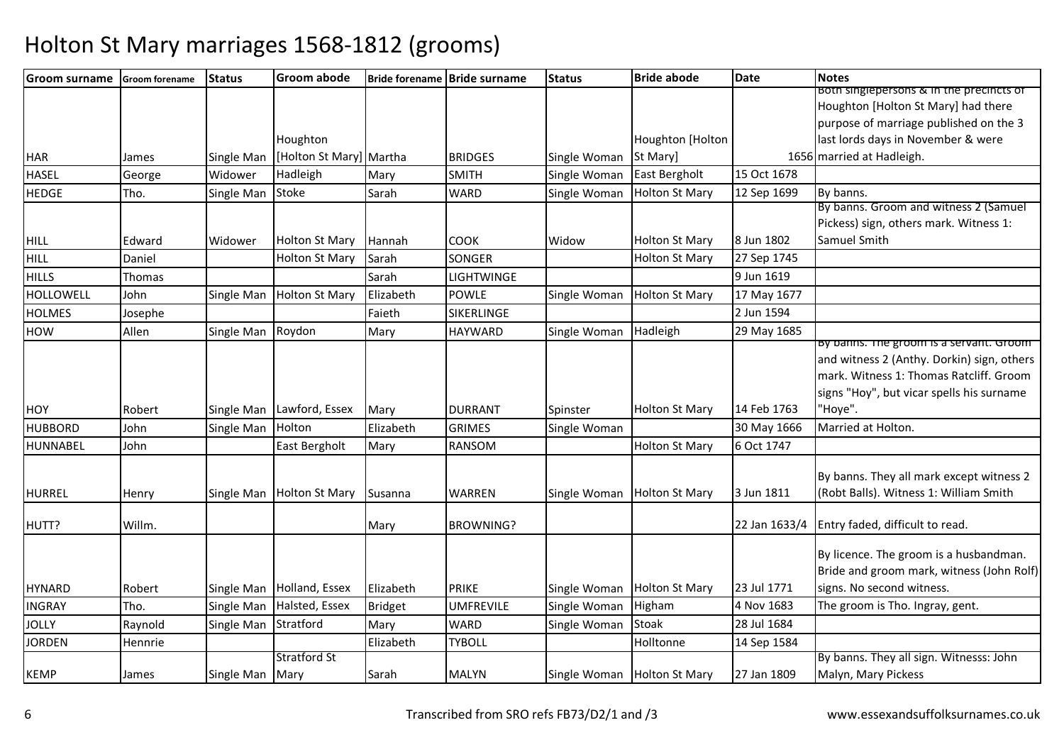| <b>Groom surname</b> | <b>Groom forename</b> | <b>Status</b>   | <b>Groom abode</b>        |           | Bride forename Bride surname | <b>Status</b> | <b>Bride abode</b>    | <b>Date</b> | <b>Notes</b>                                  |
|----------------------|-----------------------|-----------------|---------------------------|-----------|------------------------------|---------------|-----------------------|-------------|-----------------------------------------------|
|                      |                       |                 |                           |           |                              |               |                       |             | Both singlepersons & in the precincts of      |
|                      |                       |                 |                           |           |                              |               |                       |             | Houghton [Holton St Mary] had there           |
|                      |                       |                 |                           |           |                              |               |                       |             | purpose of marriage published on the 3        |
|                      |                       |                 | Houghton                  |           |                              |               | Houghton [Holton      |             | last lords days in November & were            |
| <b>HAR</b>           | James                 | Single Man      | [Holton St Mary] Martha   |           | <b>BRIDGES</b>               | Single Woman  | St Mary]              |             | 1656 married at Hadleigh.                     |
| <b>HASEL</b>         | George                | Widower         | Hadleigh                  | Mary      | <b>SMITH</b>                 | Single Woman  | East Bergholt         | 15 Oct 1678 |                                               |
| <b>HEDGE</b>         | Tho.                  | Single Man      | Stoke                     | Sarah     | <b>WARD</b>                  | Single Woman  | <b>Holton St Mary</b> | 12 Sep 1699 | By banns.                                     |
|                      |                       |                 |                           |           |                              |               |                       |             | By banns. Groom and witness 2 (Samuel         |
|                      |                       |                 |                           |           |                              |               |                       |             | Pickess) sign, others mark. Witness 1:        |
| <b>HILL</b>          | Edward                | Widower         | <b>Holton St Mary</b>     | Hannah    | <b>COOK</b>                  | Widow         | <b>Holton St Mary</b> | 8 Jun 1802  | Samuel Smith                                  |
| <b>HILL</b>          | Daniel                |                 | Holton St Mary            | Sarah     | SONGER                       |               | <b>Holton St Mary</b> | 27 Sep 1745 |                                               |
| <b>HILLS</b>         | Thomas                |                 |                           | Sarah     | LIGHTWINGE                   |               |                       | 9 Jun 1619  |                                               |
| <b>HOLLOWELL</b>     | John                  | Single Man      | Holton St Mary            | Elizabeth | <b>POWLE</b>                 | Single Woman  | <b>Holton St Mary</b> | 17 May 1677 |                                               |
| <b>HOLMES</b>        | Josephe               |                 |                           | Faieth    | SIKERLINGE                   |               |                       | 2 Jun 1594  |                                               |
| <b>HOW</b>           | Allen                 | Single Man      | Roydon                    | Mary      | <b>HAYWARD</b>               | Single Woman  | Hadleigh              | 29 May 1685 |                                               |
|                      |                       |                 |                           |           |                              |               |                       |             | By banns. The groom is a servant. Groom       |
|                      |                       |                 |                           |           |                              |               |                       |             | and witness 2 (Anthy. Dorkin) sign, others    |
|                      |                       |                 |                           |           |                              |               |                       |             | mark. Witness 1: Thomas Ratcliff. Groom       |
|                      |                       |                 |                           |           |                              |               |                       |             | signs "Hoy", but vicar spells his surname     |
| HOY                  | Robert                |                 | Single Man Lawford, Essex | Mary      | <b>DURRANT</b>               | Spinster      | <b>Holton St Mary</b> | 14 Feb 1763 | 'Hoye".                                       |
| <b>HUBBORD</b>       | John                  | Single Man      | Holton                    | Elizabeth | <b>GRIMES</b>                | Single Woman  |                       | 30 May 1666 | Married at Holton.                            |
| <b>HUNNABEL</b>      | John                  |                 | East Bergholt             | Mary      | RANSOM                       |               | <b>Holton St Mary</b> | 6 Oct 1747  |                                               |
|                      |                       |                 |                           |           |                              |               |                       |             |                                               |
|                      |                       |                 |                           |           |                              |               |                       |             | By banns. They all mark except witness 2      |
| <b>HURREL</b>        | Henry                 |                 | Single Man Holton St Mary | Susanna   | WARREN                       | Single Woman  | <b>Holton St Mary</b> | 3 Jun 1811  | (Robt Balls). Witness 1: William Smith        |
| HUTT?                | Willm.                |                 |                           | Mary      | <b>BROWNING?</b>             |               |                       |             | 22 Jan 1633/4 Entry faded, difficult to read. |
|                      |                       |                 |                           |           |                              |               |                       |             |                                               |
|                      |                       |                 |                           |           |                              |               |                       |             | By licence. The groom is a husbandman.        |
|                      |                       |                 |                           |           |                              |               |                       |             | Bride and groom mark, witness (John Rolf)     |
| <b>HYNARD</b>        | Robert                |                 | Single Man Holland, Essex | Elizabeth | <b>PRIKE</b>                 | Single Woman  | <b>Holton St Mary</b> | 23 Jul 1771 | signs. No second witness.                     |
| <b>INGRAY</b>        | Tho.                  | Single Man      | Halsted, Essex            | Bridget   | <b>UMFREVILE</b>             | Single Woman  | Higham                | 4 Nov 1683  | The groom is Tho. Ingray, gent.               |
| <b>JOLLY</b>         | Raynold               | Single Man      | Stratford                 | Mary      | <b>WARD</b>                  | Single Woman  | Stoak                 | 28 Jul 1684 |                                               |
| <b>JORDEN</b>        | Hennrie               |                 |                           | Elizabeth | <b>TYBOLL</b>                |               | Holltonne             | 14 Sep 1584 |                                               |
|                      |                       |                 | <b>Stratford St</b>       |           |                              |               |                       |             | By banns. They all sign. Witnesss: John       |
| <b>KEMP</b>          | James                 | Single Man Mary |                           | Sarah     | <b>MALYN</b>                 | Single Woman  | <b>Holton St Mary</b> | 27 Jan 1809 | Malyn, Mary Pickess                           |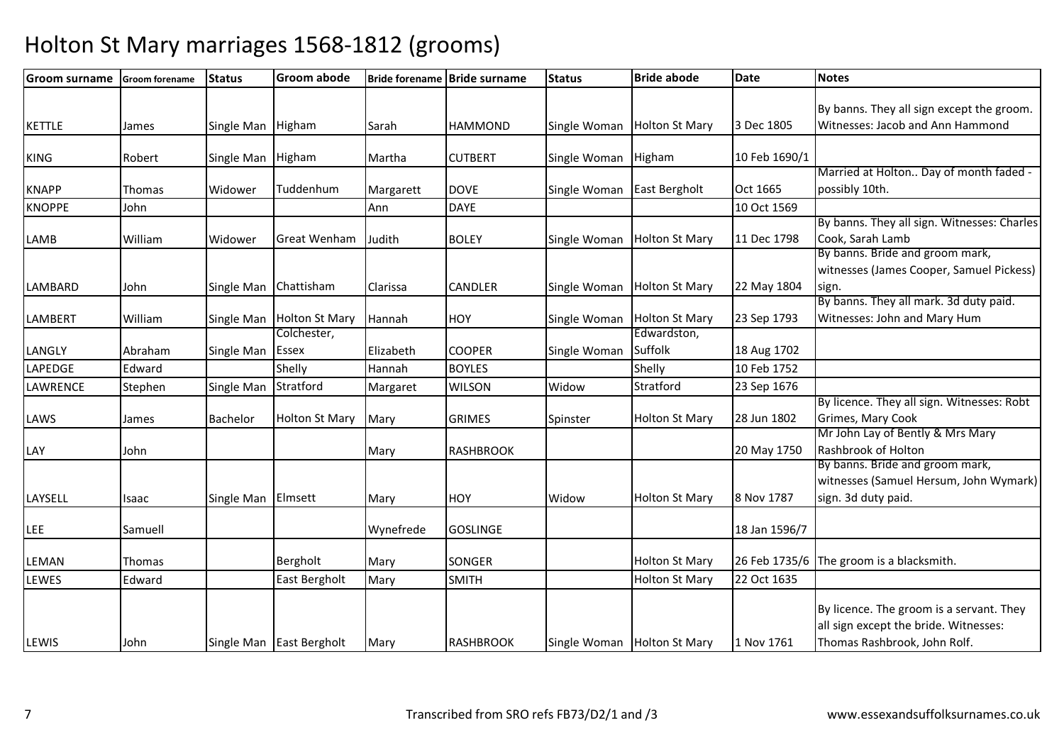| <b>Groom surname</b> | <b>Groom forename</b> | <b>Status</b>      | <b>Groom abode</b>       |           | Bride forename Bride surname | <b>Status</b> | <b>Bride abode</b>    | <b>Date</b>   | <b>Notes</b>                                |
|----------------------|-----------------------|--------------------|--------------------------|-----------|------------------------------|---------------|-----------------------|---------------|---------------------------------------------|
|                      |                       |                    |                          |           |                              |               |                       |               | By banns. They all sign except the groom.   |
| <b>KETTLE</b>        | James                 | Single Man Higham  |                          | Sarah     | <b>HAMMOND</b>               | Single Woman  | <b>Holton St Mary</b> | 3 Dec 1805    | Witnesses: Jacob and Ann Hammond            |
|                      |                       |                    |                          |           |                              |               |                       |               |                                             |
| <b>KING</b>          | Robert                | Single Man         | Higham                   | Martha    | <b>CUTBERT</b>               | Single Woman  | Higham                | 10 Feb 1690/1 |                                             |
|                      |                       |                    |                          |           |                              |               |                       |               | Married at Holton Day of month faded -      |
| <b>KNAPP</b>         | Thomas                | Widower            | Tuddenhum                | Margarett | <b>DOVE</b>                  | Single Woman  | <b>East Bergholt</b>  | Oct 1665      | possibly 10th.                              |
| <b>KNOPPE</b>        | John                  |                    |                          | Ann       | <b>DAYE</b>                  |               |                       | 10 Oct 1569   |                                             |
|                      |                       |                    |                          |           |                              |               |                       |               | By banns. They all sign. Witnesses: Charles |
| LAMB                 | William               | Widower            | <b>Great Wenham</b>      | Judith    | <b>BOLEY</b>                 | Single Woman  | <b>Holton St Mary</b> | 11 Dec 1798   | Cook, Sarah Lamb                            |
|                      |                       |                    |                          |           |                              |               |                       |               | By banns. Bride and groom mark,             |
|                      |                       |                    |                          |           |                              |               |                       |               | witnesses (James Cooper, Samuel Pickess)    |
| LAMBARD              | John                  | Single Man         | Chattisham               | Clarissa  | CANDLER                      | Single Woman  | <b>Holton St Mary</b> | 22 May 1804   | sign.                                       |
|                      |                       |                    |                          |           |                              |               |                       |               | By banns. They all mark. 3d duty paid.      |
| <b>LAMBERT</b>       | William               | Single Man         | <b>Holton St Mary</b>    | Hannah    | <b>HOY</b>                   | Single Woman  | <b>Holton St Mary</b> | 23 Sep 1793   | Witnesses: John and Mary Hum                |
|                      |                       |                    | Colchester,              |           |                              |               | Edwardston,           |               |                                             |
| LANGLY               | Abraham               | Single Man         | Essex                    | Elizabeth | <b>COOPER</b>                | Single Woman  | Suffolk               | 18 Aug 1702   |                                             |
| LAPEDGE              | Edward                |                    | Shelly                   | Hannah    | <b>BOYLES</b>                |               | Shelly                | 10 Feb 1752   |                                             |
| LAWRENCE             | Stephen               | Single Man         | Stratford                | Margaret  | <b>WILSON</b>                | Widow         | Stratford             | 23 Sep 1676   |                                             |
|                      |                       |                    |                          |           |                              |               |                       |               | By licence. They all sign. Witnesses: Robt  |
| LAWS                 | James                 | Bachelor           | <b>Holton St Mary</b>    | Mary      | <b>GRIMES</b>                | Spinster      | <b>Holton St Mary</b> | 28 Jun 1802   | Grimes, Mary Cook                           |
|                      |                       |                    |                          |           |                              |               |                       |               | Mr John Lay of Bently & Mrs Mary            |
| LAY                  | John                  |                    |                          | Mary      | <b>RASHBROOK</b>             |               |                       | 20 May 1750   | Rashbrook of Holton                         |
|                      |                       |                    |                          |           |                              |               |                       |               | By banns. Bride and groom mark,             |
|                      |                       |                    |                          |           |                              |               |                       |               | witnesses (Samuel Hersum, John Wymark)      |
| LAYSELL              | Isaac                 | Single Man Elmsett |                          | Mary      | HOY                          | Widow         | <b>Holton St Mary</b> | 8 Nov 1787    | sign. 3d duty paid.                         |
|                      |                       |                    |                          |           |                              |               |                       |               |                                             |
| <b>LEE</b>           | Samuell               |                    |                          | Wynefrede | <b>GOSLINGE</b>              |               |                       | 18 Jan 1596/7 |                                             |
| LEMAN                | Thomas                |                    | Bergholt                 | Mary      | SONGER                       |               | <b>Holton St Mary</b> |               | 26 Feb 1735/6 The groom is a blacksmith.    |
| LEWES                | Edward                |                    | East Bergholt            | Mary      | <b>SMITH</b>                 |               | <b>Holton St Mary</b> | 22 Oct 1635   |                                             |
|                      |                       |                    |                          |           |                              |               |                       |               |                                             |
|                      |                       |                    |                          |           |                              |               |                       |               | By licence. The groom is a servant. They    |
|                      |                       |                    |                          |           |                              |               |                       |               | all sign except the bride. Witnesses:       |
| LEWIS                | John                  |                    | Single Man East Bergholt | Mary      | <b>RASHBROOK</b>             | Single Woman  | <b>Holton St Mary</b> | 1 Nov 1761    | Thomas Rashbrook, John Rolf.                |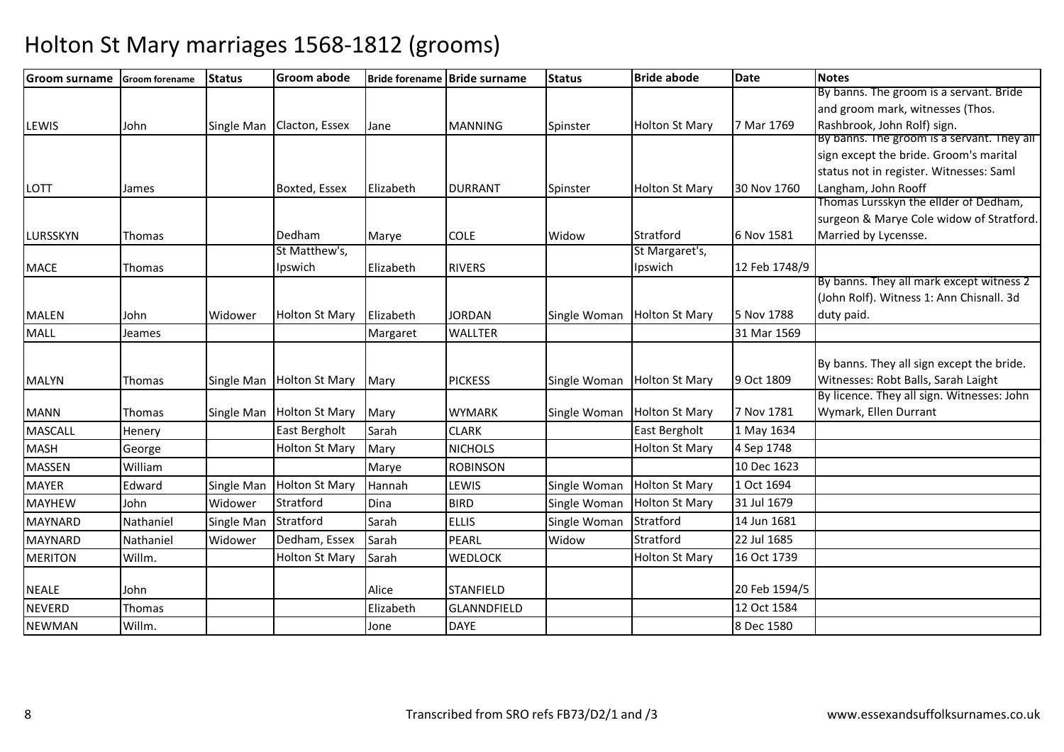| <b>Groom surname</b> | <b>Groom forename</b> | <b>Status</b> | <b>Groom abode</b>    |           | Bride forename Bride surname | <b>Status</b> | <b>Bride abode</b>    | <b>Date</b>   | <b>Notes</b>                                                                         |
|----------------------|-----------------------|---------------|-----------------------|-----------|------------------------------|---------------|-----------------------|---------------|--------------------------------------------------------------------------------------|
|                      |                       |               |                       |           |                              |               |                       |               | By banns. The groom is a servant. Bride                                              |
|                      |                       |               |                       |           |                              |               |                       |               | and groom mark, witnesses (Thos.                                                     |
| <b>LEWIS</b>         | John                  | Single Man    | Clacton, Essex        | Jane      | <b>MANNING</b>               | Spinster      | <b>Holton St Mary</b> | 7 Mar 1769    | Rashbrook, John Rolf) sign.                                                          |
|                      |                       |               |                       |           |                              |               |                       |               | By banns. The groom is a servant. They all<br>sign except the bride. Groom's marital |
|                      |                       |               |                       |           |                              |               |                       |               | status not in register. Witnesses: Saml                                              |
|                      |                       |               | Boxted, Essex         |           |                              |               |                       | 30 Nov 1760   | Langham, John Rooff                                                                  |
| <b>LOTT</b>          | James                 |               |                       | Elizabeth | <b>DURRANT</b>               | Spinster      | <b>Holton St Mary</b> |               | Thomas Lursskyn the ellder of Dedham,                                                |
|                      |                       |               |                       |           |                              |               |                       |               | surgeon & Marye Cole widow of Stratford.                                             |
| LURSSKYN             | Thomas                |               | Dedham                | Marye     | <b>COLE</b>                  | Widow         | Stratford             | 6 Nov 1581    | Married by Lycensse.                                                                 |
|                      |                       |               | St Matthew's,         |           |                              |               | St Margaret's,        |               |                                                                                      |
| <b>MACE</b>          | Thomas                |               | Ipswich               | Elizabeth | <b>RIVERS</b>                |               | Ipswich               | 12 Feb 1748/9 |                                                                                      |
|                      |                       |               |                       |           |                              |               |                       |               | By banns. They all mark except witness 2                                             |
|                      |                       |               |                       |           |                              |               |                       |               | (John Rolf). Witness 1: Ann Chisnall. 3d                                             |
| <b>MALEN</b>         | John                  | Widower       | <b>Holton St Mary</b> | Elizabeth | <b>JORDAN</b>                | Single Woman  | <b>Holton St Mary</b> | 5 Nov 1788    | duty paid.                                                                           |
| <b>MALL</b>          | Jeames                |               |                       | Margaret  | <b>WALLTER</b>               |               |                       | 31 Mar 1569   |                                                                                      |
|                      |                       |               |                       |           |                              |               |                       |               | By banns. They all sign except the bride.                                            |
| <b>MALYN</b>         | Thomas                | Single Man    | <b>Holton St Mary</b> | Mary      | <b>PICKESS</b>               | Single Woman  | <b>Holton St Mary</b> | 9 Oct 1809    | Witnesses: Robt Balls, Sarah Laight                                                  |
|                      |                       |               |                       |           |                              |               |                       |               | By licence. They all sign. Witnesses: John                                           |
| <b>MANN</b>          | Thomas                | Single Man    | <b>Holton St Mary</b> | Mary      | <b>WYMARK</b>                | Single Woman  | <b>Holton St Mary</b> | 7 Nov 1781    | Wymark, Ellen Durrant                                                                |
| <b>MASCALL</b>       | Henery                |               | East Bergholt         | Sarah     | <b>CLARK</b>                 |               | East Bergholt         | 1 May 1634    |                                                                                      |
| <b>MASH</b>          | George                |               | <b>Holton St Mary</b> | Mary      | <b>NICHOLS</b>               |               | <b>Holton St Mary</b> | 4 Sep 1748    |                                                                                      |
| <b>MASSEN</b>        | William               |               |                       | Marye     | <b>ROBINSON</b>              |               |                       | 10 Dec 1623   |                                                                                      |
| <b>MAYER</b>         | Edward                | Single Man    | <b>Holton St Mary</b> | Hannah    | LEWIS                        | Single Woman  | <b>Holton St Mary</b> | 1 Oct 1694    |                                                                                      |
| <b>MAYHEW</b>        | John                  | Widower       | Stratford             | Dina      | <b>BIRD</b>                  | Single Woman  | <b>Holton St Mary</b> | 31 Jul 1679   |                                                                                      |
| <b>MAYNARD</b>       | Nathaniel             | Single Man    | Stratford             | Sarah     | <b>ELLIS</b>                 | Single Woman  | Stratford             | 14 Jun 1681   |                                                                                      |
| <b>MAYNARD</b>       | Nathaniel             | Widower       | Dedham, Essex         | Sarah     | PEARL                        | Widow         | Stratford             | 22 Jul 1685   |                                                                                      |
| <b>MERITON</b>       | Willm.                |               | <b>Holton St Mary</b> | Sarah     | <b>WEDLOCK</b>               |               | <b>Holton St Mary</b> | 16 Oct 1739   |                                                                                      |
| <b>NEALE</b>         | John                  |               |                       | Alice     | <b>STANFIELD</b>             |               |                       | 20 Feb 1594/5 |                                                                                      |
|                      |                       |               |                       | Elizabeth | GLANNDFIELD                  |               |                       | 12 Oct 1584   |                                                                                      |
| <b>NEVERD</b>        | Thomas                |               |                       |           |                              |               |                       |               |                                                                                      |
| <b>NEWMAN</b>        | Willm.                |               |                       | Jone      | <b>DAYE</b>                  |               |                       | 8 Dec 1580    |                                                                                      |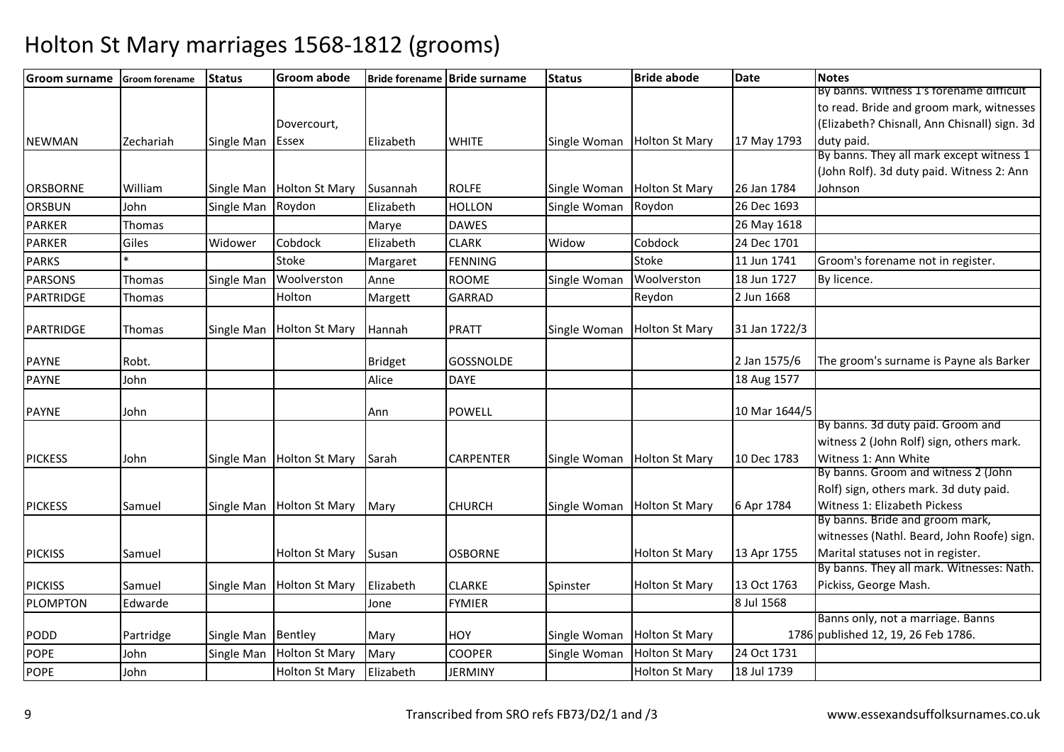| <b>Groom surname</b> | <b>Groom forename</b> | <b>Status</b>      | <b>Groom abode</b>        |                | Bride forename Bride surname | <b>Status</b> | <b>Bride abode</b>    | <b>Date</b>   | <b>Notes</b>                                 |
|----------------------|-----------------------|--------------------|---------------------------|----------------|------------------------------|---------------|-----------------------|---------------|----------------------------------------------|
|                      |                       |                    |                           |                |                              |               |                       |               | By banns. Witness 1's forename difficult     |
|                      |                       |                    |                           |                |                              |               |                       |               | to read. Bride and groom mark, witnesses     |
|                      |                       |                    | Dovercourt,               |                |                              |               |                       |               | (Elizabeth? Chisnall, Ann Chisnall) sign. 3d |
| <b>NEWMAN</b>        | Zechariah             | Single Man         | <b>Essex</b>              | Elizabeth      | <b>WHITE</b>                 | Single Woman  | <b>Holton St Mary</b> | 17 May 1793   | duty paid.                                   |
|                      |                       |                    |                           |                |                              |               |                       |               | By banns. They all mark except witness 1     |
|                      |                       |                    |                           |                |                              |               |                       |               | (John Rolf). 3d duty paid. Witness 2: Ann    |
| <b>ORSBORNE</b>      | William               | Single Man         | <b>Holton St Mary</b>     | Susannah       | <b>ROLFE</b>                 | Single Woman  | <b>Holton St Mary</b> | 26 Jan 1784   | Johnson                                      |
| ORSBUN               | John                  | Single Man         | Roydon                    | Elizabeth      | <b>HOLLON</b>                | Single Woman  | Roydon                | 26 Dec 1693   |                                              |
| <b>PARKER</b>        | Thomas                |                    |                           | Marye          | <b>DAWES</b>                 |               |                       | 26 May 1618   |                                              |
| <b>PARKER</b>        | Giles                 | Widower            | Cobdock                   | Elizabeth      | <b>CLARK</b>                 | Widow         | Cobdock               | 24 Dec 1701   |                                              |
| <b>PARKS</b>         |                       |                    | Stoke                     | Margaret       | <b>FENNING</b>               |               | Stoke                 | 11 Jun 1741   | Groom's forename not in register.            |
| <b>PARSONS</b>       | Thomas                | Single Man         | Woolverston               | Anne           | <b>ROOME</b>                 | Single Woman  | Woolverston           | 18 Jun 1727   | By licence.                                  |
| PARTRIDGE            | Thomas                |                    | Holton                    | Margett        | <b>GARRAD</b>                |               | Reydon                | 2 Jun 1668    |                                              |
|                      |                       |                    |                           |                |                              |               |                       |               |                                              |
| PARTRIDGE            | Thomas                | Single Man         | <b>Holton St Mary</b>     | Hannah         | <b>PRATT</b>                 | Single Woman  | <b>Holton St Mary</b> | 31 Jan 1722/3 |                                              |
|                      |                       |                    |                           |                |                              |               |                       |               |                                              |
| <b>PAYNE</b>         | Robt.                 |                    |                           | <b>Bridget</b> | <b>GOSSNOLDE</b>             |               |                       | 2 Jan 1575/6  | The groom's surname is Payne als Barker      |
| <b>PAYNE</b>         | John                  |                    |                           | Alice          | <b>DAYE</b>                  |               |                       | 18 Aug 1577   |                                              |
| <b>PAYNE</b>         | John                  |                    |                           | Ann            | <b>POWELL</b>                |               |                       | 10 Mar 1644/5 |                                              |
|                      |                       |                    |                           |                |                              |               |                       |               | By banns. 3d duty paid. Groom and            |
|                      |                       |                    |                           |                |                              |               |                       |               | witness 2 (John Rolf) sign, others mark.     |
| <b>PICKESS</b>       | John                  |                    | Single Man Holton St Mary | Sarah          | <b>CARPENTER</b>             | Single Woman  | <b>Holton St Mary</b> | 10 Dec 1783   | Witness 1: Ann White                         |
|                      |                       |                    |                           |                |                              |               |                       |               | By banns. Groom and witness 2 (John          |
|                      |                       |                    |                           |                |                              |               |                       |               | Rolf) sign, others mark. 3d duty paid.       |
| <b>PICKESS</b>       | Samuel                | Single Man         | <b>Holton St Mary</b>     | Mary           | <b>CHURCH</b>                | Single Woman  | <b>Holton St Mary</b> | 6 Apr 1784    | Witness 1: Elizabeth Pickess                 |
|                      |                       |                    |                           |                |                              |               |                       |               | By banns. Bride and groom mark,              |
|                      |                       |                    |                           |                |                              |               |                       |               | witnesses (Nathl. Beard, John Roofe) sign.   |
| <b>PICKISS</b>       | Samuel                |                    | <b>Holton St Mary</b>     | Susan          | <b>OSBORNE</b>               |               | <b>Holton St Mary</b> | 13 Apr 1755   | Marital statuses not in register.            |
|                      |                       |                    |                           |                |                              |               |                       |               | By banns. They all mark. Witnesses: Nath.    |
| <b>PICKISS</b>       | Samuel                | Single Man         | <b>Holton St Mary</b>     | Elizabeth      | <b>CLARKE</b>                | Spinster      | <b>Holton St Mary</b> | 13 Oct 1763   | Pickiss, George Mash.                        |
| <b>PLOMPTON</b>      | Edwarde               |                    |                           | Jone           | <b>FYMIER</b>                |               |                       | 8 Jul 1568    |                                              |
|                      |                       |                    |                           |                |                              |               |                       |               | Banns only, not a marriage. Banns            |
| PODD                 | Partridge             | Single Man Bentley |                           | Mary           | <b>HOY</b>                   | Single Woman  | <b>Holton St Mary</b> |               | 1786 published 12, 19, 26 Feb 1786.          |
| <b>POPE</b>          | John                  | Single Man         | <b>Holton St Mary</b>     | Mary           | <b>COOPER</b>                | Single Woman  | <b>Holton St Mary</b> | 24 Oct 1731   |                                              |
| <b>POPE</b>          | John                  |                    | <b>Holton St Mary</b>     | Elizabeth      | <b>JERMINY</b>               |               | <b>Holton St Mary</b> | 18 Jul 1739   |                                              |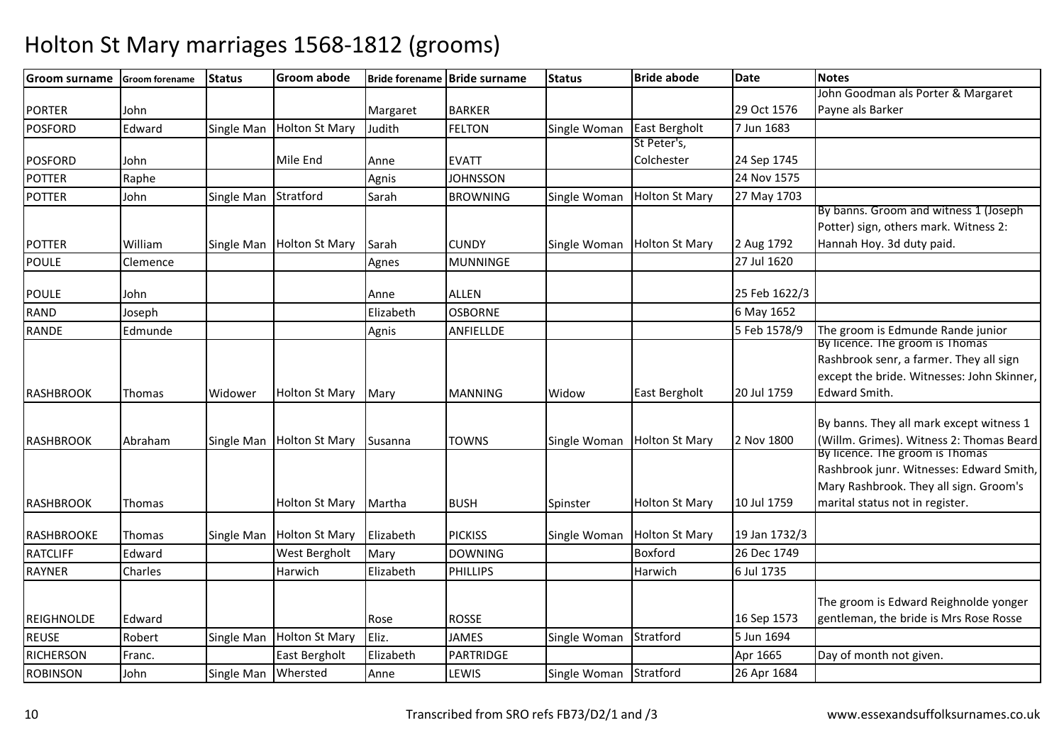| Groom surname     | <b>Groom forename</b> | <b>Status</b> | <b>Groom abode</b>    |           | Bride forename Bride surname | <b>Status</b> | <b>Bride abode</b>    | <b>Date</b>   | <b>Notes</b>                                                                       |
|-------------------|-----------------------|---------------|-----------------------|-----------|------------------------------|---------------|-----------------------|---------------|------------------------------------------------------------------------------------|
|                   |                       |               |                       |           |                              |               |                       |               | John Goodman als Porter & Margaret                                                 |
| <b>PORTER</b>     | John                  |               |                       | Margaret  | <b>BARKER</b>                |               |                       | 29 Oct 1576   | Payne als Barker                                                                   |
| <b>POSFORD</b>    | Edward                | Single Man    | <b>Holton St Mary</b> | Judith    | <b>FELTON</b>                | Single Woman  | East Bergholt         | 7 Jun 1683    |                                                                                    |
|                   |                       |               |                       |           |                              |               | St Peter's,           |               |                                                                                    |
| <b>POSFORD</b>    | John                  |               | Mile End              | Anne      | <b>EVATT</b>                 |               | Colchester            | 24 Sep 1745   |                                                                                    |
| <b>POTTER</b>     | Raphe                 |               |                       | Agnis     | <b>JOHNSSON</b>              |               |                       | 24 Nov 1575   |                                                                                    |
| <b>POTTER</b>     | John                  | Single Man    | Stratford             | Sarah     | <b>BROWNING</b>              | Single Woman  | <b>Holton St Mary</b> | 27 May 1703   |                                                                                    |
|                   |                       |               |                       |           |                              |               |                       |               | By banns. Groom and witness 1 (Joseph)                                             |
|                   |                       |               |                       |           |                              |               |                       |               | Potter) sign, others mark. Witness 2:                                              |
| <b>POTTER</b>     | William               | Single Man    | <b>Holton St Mary</b> | Sarah     | <b>CUNDY</b>                 | Single Woman  | <b>Holton St Mary</b> | 2 Aug 1792    | Hannah Hoy. 3d duty paid.                                                          |
| <b>POULE</b>      | Clemence              |               |                       | Agnes     | <b>MUNNINGE</b>              |               |                       | 27 Jul 1620   |                                                                                    |
| <b>POULE</b>      | John                  |               |                       | Anne      | ALLEN                        |               |                       | 25 Feb 1622/3 |                                                                                    |
| <b>RAND</b>       | Joseph                |               |                       | Elizabeth | <b>OSBORNE</b>               |               |                       | 6 May 1652    |                                                                                    |
|                   |                       |               |                       |           |                              |               |                       | 5 Feb 1578/9  |                                                                                    |
| RANDE             | Edmunde               |               |                       | Agnis     | ANFIELLDE                    |               |                       |               | The groom is Edmunde Rande junior<br>By licence. The groom is Thomas               |
|                   |                       |               |                       |           |                              |               |                       |               | Rashbrook senr, a farmer. They all sign                                            |
|                   |                       |               |                       |           |                              |               |                       |               | except the bride. Witnesses: John Skinner,                                         |
| RASHBROOK         | Thomas                | Widower       | Holton St Mary        | Mary      | <b>MANNING</b>               | Widow         | East Bergholt         | 20 Jul 1759   | Edward Smith.                                                                      |
|                   |                       |               |                       |           |                              |               |                       |               |                                                                                    |
|                   |                       |               |                       |           |                              |               |                       |               | By banns. They all mark except witness 1                                           |
| <b>RASHBROOK</b>  | Abraham               | Single Man    | <b>Holton St Mary</b> | Susanna   | <b>TOWNS</b>                 | Single Woman  | <b>Holton St Mary</b> | 2 Nov 1800    | (Willm. Grimes). Witness 2: Thomas Beard                                           |
|                   |                       |               |                       |           |                              |               |                       |               | By licence. The groom is Thomas                                                    |
|                   |                       |               |                       |           |                              |               |                       |               | Rashbrook junr. Witnesses: Edward Smith,<br>Mary Rashbrook. They all sign. Groom's |
|                   |                       |               | <b>Holton St Mary</b> | Martha    | <b>BUSH</b>                  |               | <b>Holton St Mary</b> | 10 Jul 1759   | marital status not in register.                                                    |
| <b>RASHBROOK</b>  | Thomas                |               |                       |           |                              | Spinster      |                       |               |                                                                                    |
| RASHBROOKE        | Thomas                | Single Man    | <b>Holton St Mary</b> | Elizabeth | <b>PICKISS</b>               | Single Woman  | <b>Holton St Mary</b> | 19 Jan 1732/3 |                                                                                    |
| <b>RATCLIFF</b>   | Edward                |               | West Bergholt         | Mary      | <b>DOWNING</b>               |               | Boxford               | 26 Dec 1749   |                                                                                    |
| <b>RAYNER</b>     | Charles               |               | Harwich               | Elizabeth | <b>PHILLIPS</b>              |               | Harwich               | 6 Jul 1735    |                                                                                    |
|                   |                       |               |                       |           |                              |               |                       |               |                                                                                    |
|                   |                       |               |                       |           |                              |               |                       |               | The groom is Edward Reighnolde yonger                                              |
| <b>REIGHNOLDE</b> | Edward                |               |                       | Rose      | <b>ROSSE</b>                 |               |                       | 16 Sep 1573   | gentleman, the bride is Mrs Rose Rosse                                             |
| <b>REUSE</b>      | Robert                | Single Man    | <b>Holton St Mary</b> | Eliz.     | <b>JAMES</b>                 | Single Woman  | Stratford             | 5 Jun 1694    |                                                                                    |
| <b>RICHERSON</b>  | Franc.                |               | East Bergholt         | Elizabeth | PARTRIDGE                    |               |                       | Apr 1665      | Day of month not given.                                                            |
| <b>ROBINSON</b>   | John                  | Single Man    | Whersted              | Anne      | LEWIS                        | Single Woman  | Stratford             | 26 Apr 1684   |                                                                                    |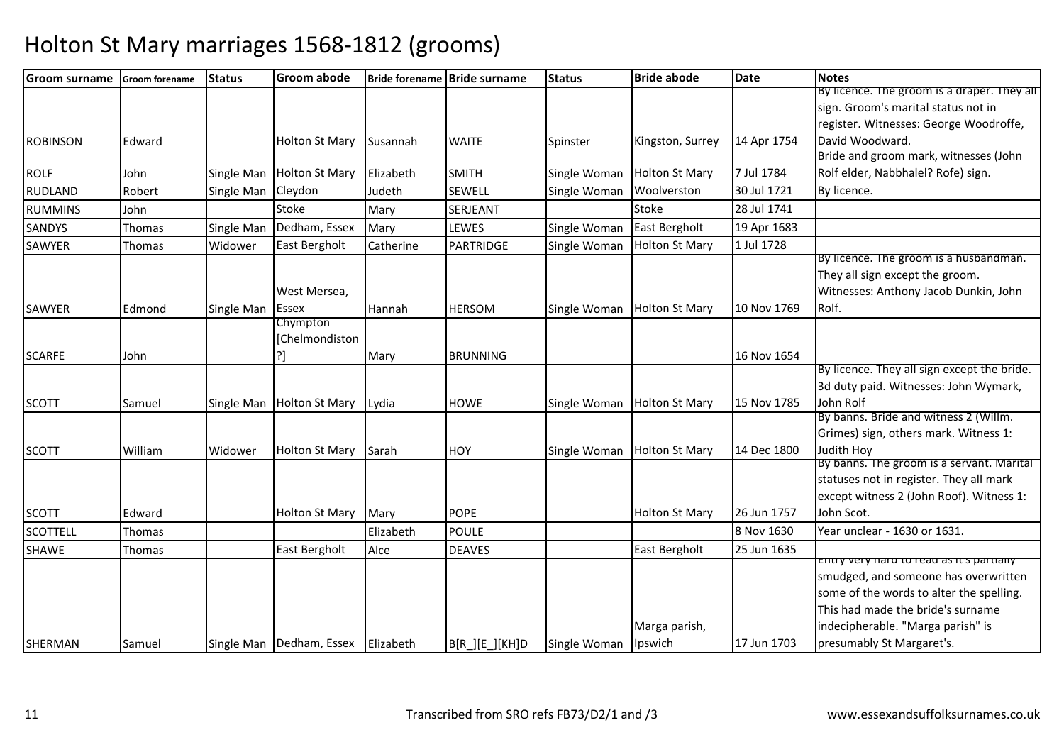| <b>Groom surname</b> | <b>Groom forename</b> | <b>Status</b> | <b>Groom abode</b>         |           | Bride forename Bride surname | <b>Status</b> | <b>Bride abode</b>    | <b>Date</b> | <b>Notes</b>                                       |
|----------------------|-----------------------|---------------|----------------------------|-----------|------------------------------|---------------|-----------------------|-------------|----------------------------------------------------|
|                      |                       |               |                            |           |                              |               |                       |             | By licence. The groom is a draper. They all        |
|                      |                       |               |                            |           |                              |               |                       |             | sign. Groom's marital status not in                |
|                      |                       |               |                            |           |                              |               |                       |             | register. Witnesses: George Woodroffe,             |
| <b>ROBINSON</b>      | Edward                |               | <b>Holton St Mary</b>      | Susannah  | <b>WAITE</b>                 | Spinster      | Kingston, Surrey      | 14 Apr 1754 | David Woodward.                                    |
|                      |                       |               |                            |           |                              |               |                       |             | Bride and groom mark, witnesses (John              |
| <b>ROLF</b>          | John                  | Single Man    | <b>Holton St Mary</b>      | Elizabeth | <b>SMITH</b>                 | Single Woman  | <b>Holton St Mary</b> | 7 Jul 1784  | Rolf elder, Nabbhalel? Rofe) sign.                 |
| <b>RUDLAND</b>       | Robert                | Single Man    | Cleydon                    | Judeth    | <b>SEWELL</b>                | Single Woman  | Woolverston           | 30 Jul 1721 | By licence.                                        |
| <b>RUMMINS</b>       | John                  |               | <b>Stoke</b>               | Mary      | SERJEANT                     |               | <b>Stoke</b>          | 28 Jul 1741 |                                                    |
| <b>SANDYS</b>        | Thomas                | Single Man    | Dedham, Essex              | Mary      | LEWES                        | Single Woman  | <b>East Bergholt</b>  | 19 Apr 1683 |                                                    |
| SAWYER               | Thomas                | Widower       | East Bergholt              | Catherine | <b>PARTRIDGE</b>             | Single Woman  | <b>Holton St Mary</b> | 1 Jul 1728  |                                                    |
|                      |                       |               |                            |           |                              |               |                       |             | By licence. The groom is a husbandman.             |
|                      |                       |               |                            |           |                              |               |                       |             | They all sign except the groom.                    |
|                      |                       |               | West Mersea,               |           |                              |               |                       |             | Witnesses: Anthony Jacob Dunkin, John              |
| SAWYER               | Edmond                | Single Man    | Essex                      | Hannah    | <b>HERSOM</b>                | Single Woman  | <b>Holton St Mary</b> | 10 Nov 1769 | Rolf.                                              |
|                      |                       |               | Chympton                   |           |                              |               |                       |             |                                                    |
|                      |                       |               | [Chelmondiston             |           |                              |               |                       |             |                                                    |
| <b>SCARFE</b>        | John                  |               |                            | Mary      | <b>BRUNNING</b>              |               |                       | 16 Nov 1654 |                                                    |
|                      |                       |               |                            |           |                              |               |                       |             | By licence. They all sign except the bride.        |
|                      |                       |               |                            |           |                              |               |                       |             | 3d duty paid. Witnesses: John Wymark,              |
| <b>SCOTT</b>         | Samuel                | Single Man    | <b>Holton St Mary</b>      | Lydia     | <b>HOWE</b>                  | Single Woman  | <b>Holton St Mary</b> | 15 Nov 1785 | John Rolf<br>By banns. Bride and witness 2 (Willm. |
|                      |                       |               |                            |           |                              |               |                       |             | Grimes) sign, others mark. Witness 1:              |
| <b>SCOTT</b>         | William               | Widower       | <b>Holton St Mary</b>      | Sarah     | <b>HOY</b>                   |               | <b>Holton St Mary</b> | 14 Dec 1800 | Judith Hoy                                         |
|                      |                       |               |                            |           |                              | Single Woman  |                       |             | By banns. The groom is a servant. Marital          |
|                      |                       |               |                            |           |                              |               |                       |             | statuses not in register. They all mark            |
|                      |                       |               |                            |           |                              |               |                       |             | except witness 2 (John Roof). Witness 1:           |
| <b>SCOTT</b>         | Edward                |               | <b>Holton St Mary</b>      | Mary      | <b>POPE</b>                  |               | <b>Holton St Mary</b> | 26 Jun 1757 | John Scot.                                         |
| <b>SCOTTELL</b>      | Thomas                |               |                            | Elizabeth | <b>POULE</b>                 |               |                       | 8 Nov 1630  | Year unclear - 1630 or 1631.                       |
| <b>SHAWE</b>         | Thomas                |               | East Bergholt              | Alce      | <b>DEAVES</b>                |               | East Bergholt         | 25 Jun 1635 |                                                    |
|                      |                       |               |                            |           |                              |               |                       |             | chtry very naru to reau as it s partiany           |
|                      |                       |               |                            |           |                              |               |                       |             | smudged, and someone has overwritten               |
|                      |                       |               |                            |           |                              |               |                       |             | some of the words to alter the spelling.           |
|                      |                       |               |                            |           |                              |               |                       |             | This had made the bride's surname                  |
|                      |                       |               |                            |           |                              |               | Marga parish,         |             | indecipherable. "Marga parish" is                  |
| SHERMAN              | Samuel                |               | Single Man   Dedham, Essex | Elizabeth | $B[R_][E_][KH]D$             | Single Woman  | Ipswich               | 17 Jun 1703 | presumably St Margaret's.                          |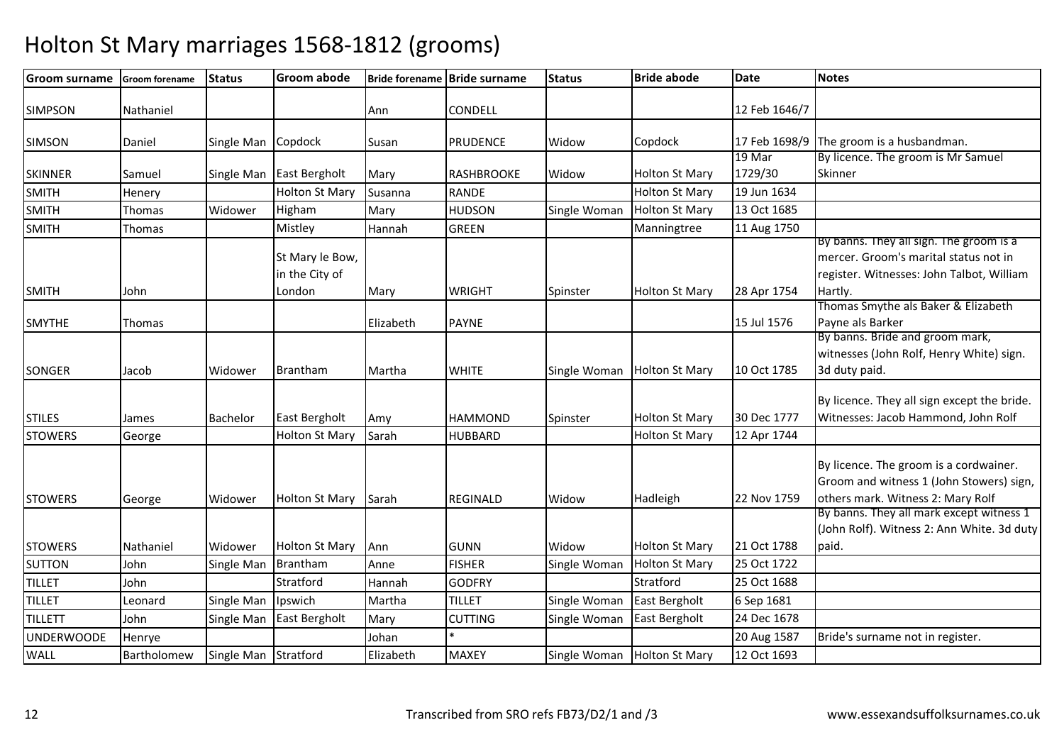| <b>Groom surname</b> | Groom forename | <b>Status</b> | <b>Groom abode</b>                          |           | Bride forename Bride surname | <b>Status</b> | <b>Bride abode</b>    | <b>Date</b>   | <b>Notes</b>                                                                                                                             |
|----------------------|----------------|---------------|---------------------------------------------|-----------|------------------------------|---------------|-----------------------|---------------|------------------------------------------------------------------------------------------------------------------------------------------|
| <b>SIMPSON</b>       | Nathaniel      |               |                                             | Ann       | CONDELL                      |               |                       | 12 Feb 1646/7 |                                                                                                                                          |
| <b>SIMSON</b>        | Daniel         | Single Man    | Copdock                                     | Susan     | <b>PRUDENCE</b>              | Widow         | Copdock               | 17 Feb 1698/9 | The groom is a husbandman.                                                                                                               |
|                      |                |               |                                             |           |                              |               |                       | 19 Mar        | By licence. The groom is Mr Samuel                                                                                                       |
| <b>SKINNER</b>       | Samuel         | Single Man    | <b>East Bergholt</b>                        | Mary      | <b>RASHBROOKE</b>            | Widow         | <b>Holton St Mary</b> | 1729/30       | Skinner                                                                                                                                  |
| <b>SMITH</b>         | Henery         |               | <b>Holton St Mary</b>                       | Susanna   | <b>RANDE</b>                 |               | <b>Holton St Mary</b> | 19 Jun 1634   |                                                                                                                                          |
| <b>SMITH</b>         | Thomas         | Widower       | Higham                                      | Mary      | <b>HUDSON</b>                | Single Woman  | <b>Holton St Mary</b> | 13 Oct 1685   |                                                                                                                                          |
| <b>SMITH</b>         | Thomas         |               | Mistley                                     | Hannah    | <b>GREEN</b>                 |               | Manningtree           | 11 Aug 1750   |                                                                                                                                          |
| <b>SMITH</b>         | John           |               | St Mary le Bow,<br>in the City of<br>London | Mary      | <b>WRIGHT</b>                | Spinster      | <b>Holton St Mary</b> | 28 Apr 1754   | By banns. They all sign. The groom is a<br>mercer. Groom's marital status not in<br>register. Witnesses: John Talbot, William<br>Hartly. |
|                      |                |               |                                             |           |                              |               |                       |               | Thomas Smythe als Baker & Elizabeth                                                                                                      |
| <b>SMYTHE</b>        | Thomas         |               |                                             | Elizabeth | <b>PAYNE</b>                 |               |                       | 15 Jul 1576   | Payne als Barker                                                                                                                         |
| <b>SONGER</b>        | Jacob          | Widower       | Brantham                                    | Martha    | <b>WHITE</b>                 | Single Woman  | <b>Holton St Mary</b> | 10 Oct 1785   | By banns. Bride and groom mark,<br>witnesses (John Rolf, Henry White) sign.<br>3d duty paid.                                             |
| <b>STILES</b>        | James          | Bachelor      | East Bergholt                               | Amy       | <b>HAMMOND</b>               | Spinster      | <b>Holton St Mary</b> | 30 Dec 1777   | By licence. They all sign except the bride.<br>Witnesses: Jacob Hammond, John Rolf                                                       |
| <b>STOWERS</b>       | George         |               | Holton St Mary                              | Sarah     | <b>HUBBARD</b>               |               | <b>Holton St Mary</b> | 12 Apr 1744   |                                                                                                                                          |
| <b>STOWERS</b>       | George         | Widower       | <b>Holton St Mary</b>                       | Sarah     | <b>REGINALD</b>              | Widow         | Hadleigh              | 22 Nov 1759   | By licence. The groom is a cordwainer.<br>Groom and witness 1 (John Stowers) sign,<br>others mark. Witness 2: Mary Rolf                  |
| <b>STOWERS</b>       | Nathaniel      | Widower       | <b>Holton St Mary</b>                       | Ann       | <b>GUNN</b>                  | Widow         | <b>Holton St Mary</b> | 21 Oct 1788   | By banns. They all mark except witness 1<br>(John Rolf). Witness 2: Ann White. 3d duty<br>paid.                                          |
| <b>SUTTON</b>        | John           | Single Man    | Brantham                                    | Anne      | <b>FISHER</b>                | Single Woman  | <b>Holton St Mary</b> | 25 Oct 1722   |                                                                                                                                          |
| <b>TILLET</b>        | John           |               | Stratford                                   | Hannah    | <b>GODFRY</b>                |               | Stratford             | 25 Oct 1688   |                                                                                                                                          |
| <b>TILLET</b>        | Leonard        | Single Man    | Ipswich                                     | Martha    | <b>TILLET</b>                | Single Woman  | East Bergholt         | 6 Sep 1681    |                                                                                                                                          |
| <b>TILLETT</b>       | John           | Single Man    | East Bergholt                               | Mary      | <b>CUTTING</b>               | Single Woman  | East Bergholt         | 24 Dec 1678   |                                                                                                                                          |
| <b>UNDERWOODE</b>    | Henrye         |               |                                             | Johan     |                              |               |                       | 20 Aug 1587   | Bride's surname not in register.                                                                                                         |
| WALL                 | Bartholomew    | Single Man    | Stratford                                   | Elizabeth | <b>MAXEY</b>                 | Single Woman  | <b>Holton St Mary</b> | 12 Oct 1693   |                                                                                                                                          |